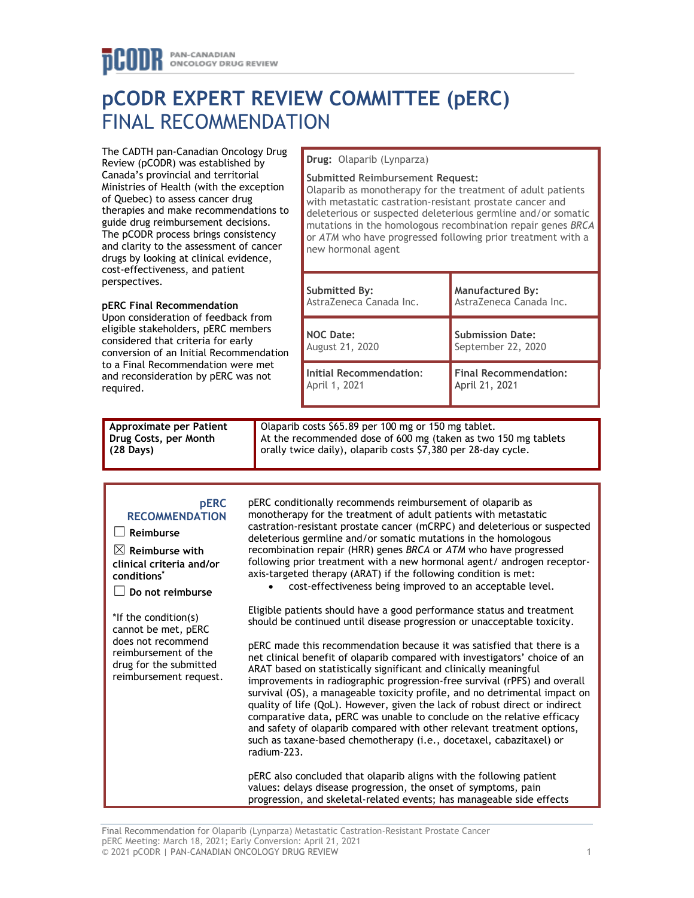# **pCODR EXPERT REVIEW COMMITTEE (pERC)** FINAL RECOMMENDATION

The CADTH pan-Canadian Oncology Drug Review (pCODR) was established by Canada's provincial and territorial Ministries of Health (with the exception of Quebec) to assess cancer drug therapies and make recommendations to guide drug reimbursement decisions. The pCODR process brings consistency and clarity to the assessment of cancer drugs by looking at clinical evidence, cost-effectiveness, and patient perspectives.

### **pERC Final Recommendation**

Upon consideration of feedback from eligible stakeholders, pERC members considered that criteria for early conversion of an Initial Recommendation to a Final Recommendation were met and reconsideration by pERC was not required.

#### **Drug:** Olaparib (Lynparza)

#### **Submitted Reimbursement Request:**

Olaparib as monotherapy for the treatment of adult patients with metastatic castration-resistant prostate cancer and deleterious or suspected deleterious germline and/or somatic mutations in the homologous recombination repair genes *BRCA* or *ATM* who have progressed following prior treatment with a new hormonal agent

| Submitted By:           | <b>Manufactured By:</b>      |
|-------------------------|------------------------------|
| AstraZeneca Canada Inc. | AstraZeneca Canada Inc.      |
| <b>NOC Date:</b>        | <b>Submission Date:</b>      |
| <b>August 21, 2020</b>  | September 22, 2020           |
| Initial Recommendation: | <b>Final Recommendation:</b> |
| April 1, 2021           | April 21, 2021               |

| Approximate per Patient | Olaparib costs \$65.89 per 100 mg or 150 mg tablet.            |
|-------------------------|----------------------------------------------------------------|
| Drug Costs, per Month   | At the recommended dose of 600 mg (taken as two 150 mg tablets |
| $(28 \text{ Days})$     | orally twice daily), olaparib costs \$7,380 per 28-day cycle.  |

#### **pERC RECOMMENDATION**

☐ **Reimburse**

☒ **Reimburse with clinical criteria and/or conditions\***

☐ **Do not reimburse**

\*If the condition(s) cannot be met, pERC does not recommend reimbursement of the drug for the submitted reimbursement request.

pERC conditionally recommends reimbursement of olaparib as monotherapy for the treatment of adult patients with metastatic castration-resistant prostate cancer (mCRPC) and deleterious or suspected deleterious germline and/or somatic mutations in the homologous recombination repair (HRR) genes *BRCA* or *ATM* who have progressed following prior treatment with a new hormonal agent/ androgen receptoraxis-targeted therapy (ARAT) if the following condition is met:

• cost-effectiveness being improved to an acceptable level.

Eligible patients should have a good performance status and treatment should be continued until disease progression or unacceptable toxicity.

pERC made this recommendation because it was satisfied that there is a net clinical benefit of olaparib compared with investigators' choice of an ARAT based on statistically significant and clinically meaningful improvements in radiographic progression-free survival (rPFS) and overall survival (OS), a manageable toxicity profile, and no detrimental impact on quality of life (QoL). However, given the lack of robust direct or indirect comparative data, pERC was unable to conclude on the relative efficacy and safety of olaparib compared with other relevant treatment options, such as taxane-based chemotherapy (i.e., docetaxel, cabazitaxel) or radium-223.

pERC also concluded that olaparib aligns with the following patient values: delays disease progression, the onset of symptoms, pain progression, and skeletal-related events; has manageable side effects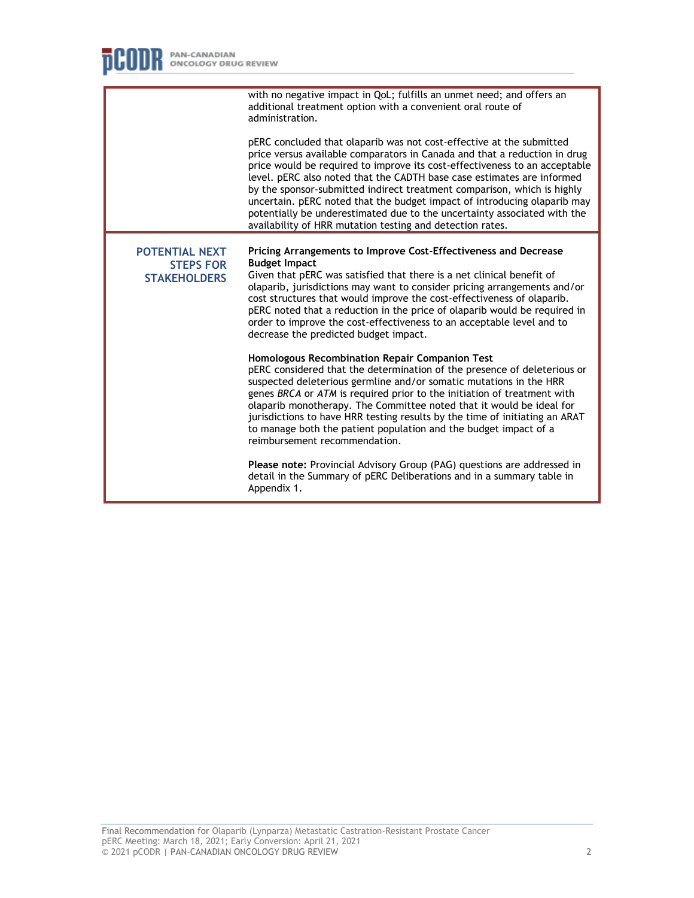|                                                                  | with no negative impact in QoL; fulfills an unmet need; and offers an<br>additional treatment option with a convenient oral route of<br>administration.                                                                                                                                                                                                                                                                                                                                                                                                                                                   |
|------------------------------------------------------------------|-----------------------------------------------------------------------------------------------------------------------------------------------------------------------------------------------------------------------------------------------------------------------------------------------------------------------------------------------------------------------------------------------------------------------------------------------------------------------------------------------------------------------------------------------------------------------------------------------------------|
|                                                                  | pERC concluded that olaparib was not cost-effective at the submitted<br>price versus available comparators in Canada and that a reduction in drug<br>price would be required to improve its cost-effectiveness to an acceptable<br>level. pERC also noted that the CADTH base case estimates are informed<br>by the sponsor-submitted indirect treatment comparison, which is highly<br>uncertain. pERC noted that the budget impact of introducing olaparib may<br>potentially be underestimated due to the uncertainty associated with the<br>availability of HRR mutation testing and detection rates. |
| <b>POTENTIAL NEXT</b><br><b>STEPS FOR</b><br><b>STAKEHOLDERS</b> | Pricing Arrangements to Improve Cost-Effectiveness and Decrease<br><b>Budget Impact</b><br>Given that pERC was satisfied that there is a net clinical benefit of<br>olaparib, jurisdictions may want to consider pricing arrangements and/or<br>cost structures that would improve the cost-effectiveness of olaparib.<br>pERC noted that a reduction in the price of olaparib would be required in<br>order to improve the cost-effectiveness to an acceptable level and to<br>decrease the predicted budget impact.                                                                                     |
|                                                                  | Homologous Recombination Repair Companion Test<br>pERC considered that the determination of the presence of deleterious or<br>suspected deleterious germline and/or somatic mutations in the HRR<br>genes BRCA or ATM is required prior to the initiation of treatment with<br>olaparib monotherapy. The Committee noted that it would be ideal for<br>jurisdictions to have HRR testing results by the time of initiating an ARAT<br>to manage both the patient population and the budget impact of a<br>reimbursement recommendation.                                                                   |
|                                                                  | <b>Please note:</b> Provincial Advisory Group (PAG) questions are addressed in<br>detail in the Summary of pERC Deliberations and in a summary table in<br>Appendix 1.                                                                                                                                                                                                                                                                                                                                                                                                                                    |
|                                                                  |                                                                                                                                                                                                                                                                                                                                                                                                                                                                                                                                                                                                           |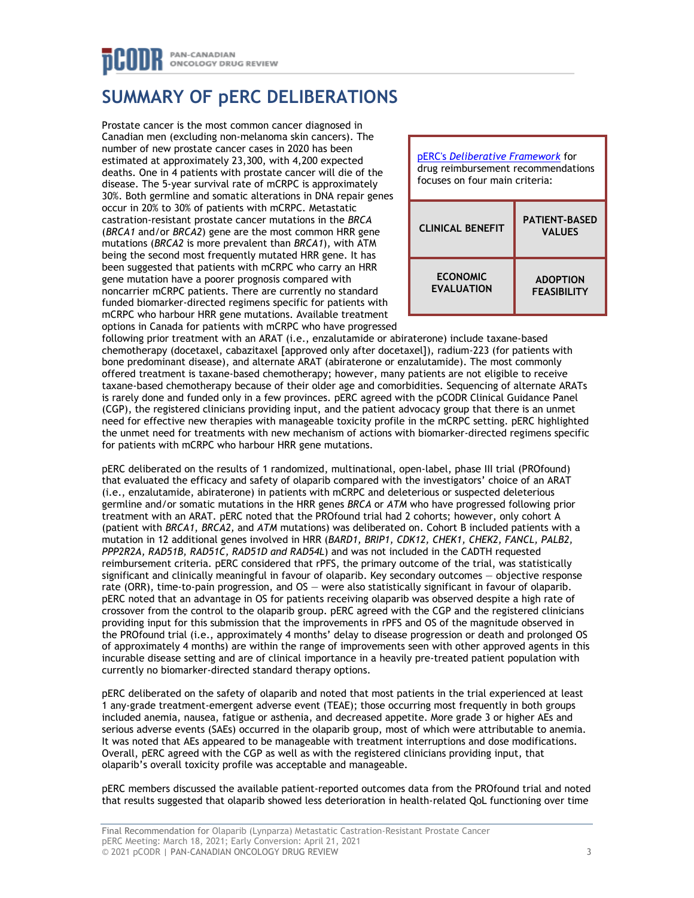## PAN-CANADIAN **ONCOLOGY DRUG REVIEW**

# **SUMMARY OF pERC DELIBERATIONS**

Prostate cancer is the most common cancer diagnosed in Canadian men (excluding non-melanoma skin cancers). The number of new prostate cancer cases in 2020 has been estimated at approximately 23,300, with 4,200 expected deaths. One in 4 patients with prostate cancer will die of the disease. The 5-year survival rate of mCRPC is approximately 30%. Both germline and somatic alterations in DNA repair genes occur in 20% to 30% of patients with mCRPC. Metastatic castration-resistant prostate cancer mutations in the *BRCA* (*BRCA1* and/or *BRCA2*) gene are the most common HRR gene mutations (*BRCA2* is more prevalent than *BRCA1*), with ATM being the second most frequently mutated HRR gene. It has been suggested that patients with mCRPC who carry an HRR gene mutation have a poorer prognosis compared with noncarrier mCRPC patients. There are currently no standard funded biomarker-directed regimens specific for patients with mCRPC who harbour HRR gene mutations. Available treatment options in Canada for patients with mCRPC who have progressed



following prior treatment with an ARAT (i.e., enzalutamide or abiraterone) include taxane-based chemotherapy (docetaxel, cabazitaxel [approved only after docetaxel]), radium-223 (for patients with bone predominant disease), and alternate ARAT (abiraterone or enzalutamide). The most commonly offered treatment is taxane-based chemotherapy; however, many patients are not eligible to receive taxane-based chemotherapy because of their older age and comorbidities. Sequencing of alternate ARATs is rarely done and funded only in a few provinces. pERC agreed with the pCODR Clinical Guidance Panel (CGP), the registered clinicians providing input, and the patient advocacy group that there is an unmet need for effective new therapies with manageable toxicity profile in the mCRPC setting. pERC highlighted the unmet need for treatments with new mechanism of actions with biomarker-directed regimens specific for patients with mCRPC who harbour HRR gene mutations.

pERC deliberated on the results of 1 randomized, multinational, open-label, phase III trial (PROfound) that evaluated the efficacy and safety of olaparib compared with the investigators' choice of an ARAT (i.e., enzalutamide, abiraterone) in patients with mCRPC and deleterious or suspected deleterious germline and/or somatic mutations in the HRR genes *BRCA* or *ATM* who have progressed following prior treatment with an ARAT. pERC noted that the PROfound trial had 2 cohorts; however, only cohort A (patient with *BRCA1*, *BRCA2,* and *ATM* mutations) was deliberated on. Cohort B included patients with a mutation in 12 additional genes involved in HRR (*BARD1, BRIP1, CDK12, CHEK1, CHEK2, FANCL, PALB2, PPP2R2A, RAD51B, RAD51C, RAD51D and RAD54L*) and was not included in the CADTH requested reimbursement criteria. pERC considered that rPFS, the primary outcome of the trial, was statistically significant and clinically meaningful in favour of olaparib. Key secondary outcomes — objective response rate (ORR), time-to-pain progression, and OS — were also statistically significant in favour of olaparib. pERC noted that an advantage in OS for patients receiving olaparib was observed despite a high rate of crossover from the control to the olaparib group. pERC agreed with the CGP and the registered clinicians providing input for this submission that the improvements in rPFS and OS of the magnitude observed in the PROfound trial (i.e., approximately 4 months' delay to disease progression or death and prolonged OS of approximately 4 months) are within the range of improvements seen with other approved agents in this incurable disease setting and are of clinical importance in a heavily pre-treated patient population with currently no biomarker-directed standard therapy options.

pERC deliberated on the safety of olaparib and noted that most patients in the trial experienced at least 1 any-grade treatment-emergent adverse event (TEAE); those occurring most frequently in both groups included anemia, nausea, fatigue or asthenia, and decreased appetite. More grade 3 or higher AEs and serious adverse events (SAEs) occurred in the olaparib group, most of which were attributable to anemia. It was noted that AEs appeared to be manageable with treatment interruptions and dose modifications. Overall, pERC agreed with the CGP as well as with the registered clinicians providing input, that olaparib's overall toxicity profile was acceptable and manageable.

pERC members discussed the available patient-reported outcomes data from the PROfound trial and noted that results suggested that olaparib showed less deterioration in health-related QoL functioning over time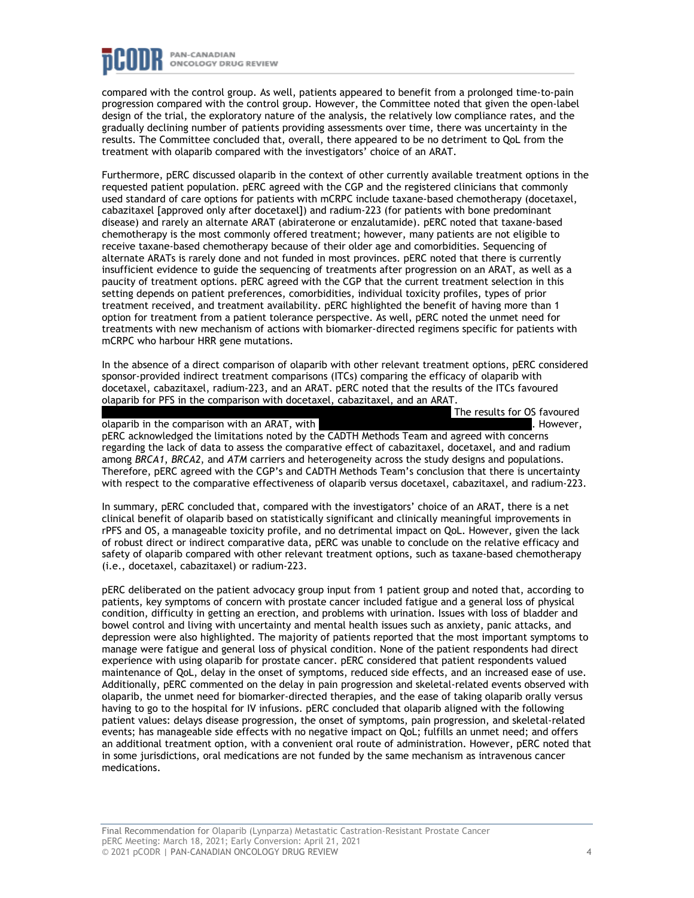

compared with the control group. As well, patients appeared to benefit from a prolonged time-to-pain progression compared with the control group. However, the Committee noted that given the open-label design of the trial, the exploratory nature of the analysis, the relatively low compliance rates, and the gradually declining number of patients providing assessments over time, there was uncertainty in the results. The Committee concluded that, overall, there appeared to be no detriment to QoL from the treatment with olaparib compared with the investigators' choice of an ARAT.

Furthermore, pERC discussed olaparib in the context of other currently available treatment options in the requested patient population. pERC agreed with the CGP and the registered clinicians that commonly used standard of care options for patients with mCRPC include taxane-based chemotherapy (docetaxel, cabazitaxel [approved only after docetaxel]) and radium-223 (for patients with bone predominant disease) and rarely an alternate ARAT (abiraterone or enzalutamide). pERC noted that taxane-based chemotherapy is the most commonly offered treatment; however, many patients are not eligible to receive taxane-based chemotherapy because of their older age and comorbidities. Sequencing of alternate ARATs is rarely done and not funded in most provinces. pERC noted that there is currently insufficient evidence to guide the sequencing of treatments after progression on an ARAT, as well as a paucity of treatment options. pERC agreed with the CGP that the current treatment selection in this setting depends on patient preferences, comorbidities, individual toxicity profiles, types of prior treatment received, and treatment availability. pERC highlighted the benefit of having more than 1 option for treatment from a patient tolerance perspective. As well, pERC noted the unmet need for treatments with new mechanism of actions with biomarker-directed regimens specific for patients with mCRPC who harbour HRR gene mutations.

In the absence of a direct comparison of olaparib with other relevant treatment options, pERC considered sponsor-provided indirect treatment comparisons (ITCs) comparing the efficacy of olaparib with docetaxel, cabazitaxel, radium-223, and an ARAT. pERC noted that the results of the ITCs favoured olaparib for PFS in the comparison with docetaxel, cabazitaxel, and an ARAT.

The results for OS favoured

olaparib in the comparison with an ARAT, with **the comparison with an ARAT**, with  $\blacksquare$ pERC acknowledged the limitations noted by the CADTH Methods Team and agreed with concerns regarding the lack of data to assess the comparative effect of cabazitaxel, docetaxel, and and radium among *BRCA1*, *BRCA2*, and *ATM* carriers and heterogeneity across the study designs and populations. Therefore, pERC agreed with the CGP's and CADTH Methods Team's conclusion that there is uncertainty with respect to the comparative effectiveness of olaparib versus docetaxel, cabazitaxel, and radium-223.

In summary, pERC concluded that, compared with the investigators' choice of an ARAT, there is a net clinical benefit of olaparib based on statistically significant and clinically meaningful improvements in rPFS and OS, a manageable toxicity profile, and no detrimental impact on QoL. However, given the lack of robust direct or indirect comparative data, pERC was unable to conclude on the relative efficacy and safety of olaparib compared with other relevant treatment options, such as taxane-based chemotherapy (i.e., docetaxel, cabazitaxel) or radium-223.

pERC deliberated on the patient advocacy group input from 1 patient group and noted that, according to patients, key symptoms of concern with prostate cancer included fatigue and a general loss of physical condition, difficulty in getting an erection, and problems with urination. Issues with loss of bladder and bowel control and living with uncertainty and mental health issues such as anxiety, panic attacks, and depression were also highlighted. The majority of patients reported that the most important symptoms to manage were fatigue and general loss of physical condition. None of the patient respondents had direct experience with using olaparib for prostate cancer. pERC considered that patient respondents valued maintenance of QoL, delay in the onset of symptoms, reduced side effects, and an increased ease of use. Additionally, pERC commented on the delay in pain progression and skeletal-related events observed with olaparib, the unmet need for biomarker-directed therapies, and the ease of taking olaparib orally versus having to go to the hospital for IV infusions. pERC concluded that olaparib aligned with the following patient values: delays disease progression, the onset of symptoms, pain progression, and skeletal-related events; has manageable side effects with no negative impact on QoL; fulfills an unmet need; and offers an additional treatment option, with a convenient oral route of administration. However, pERC noted that in some jurisdictions, oral medications are not funded by the same mechanism as intravenous cancer medications.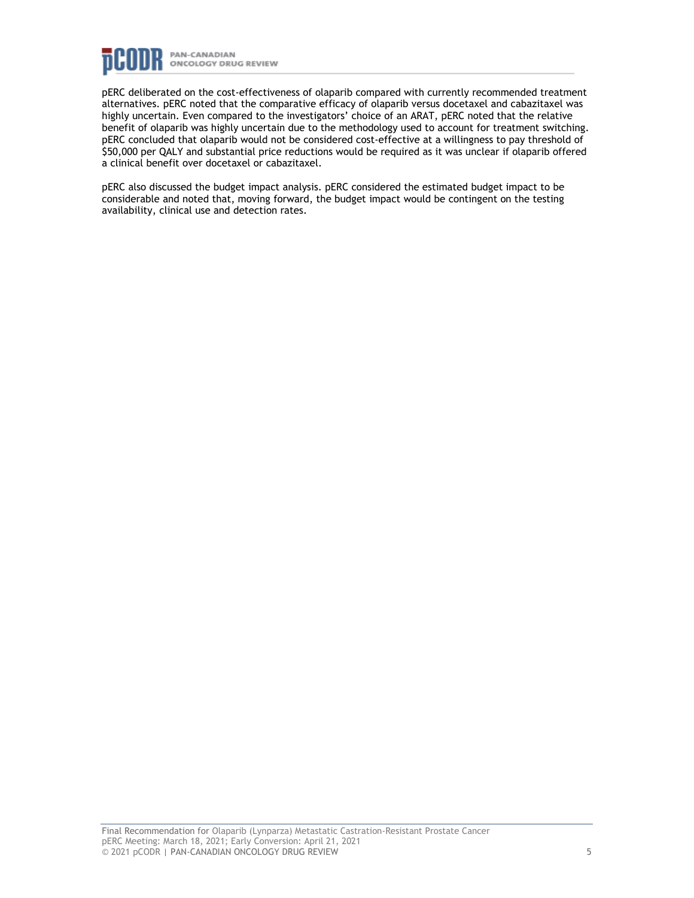

pERC deliberated on the cost-effectiveness of olaparib compared with currently recommended treatment alternatives. pERC noted that the comparative efficacy of olaparib versus docetaxel and cabazitaxel was highly uncertain. Even compared to the investigators' choice of an ARAT, pERC noted that the relative benefit of olaparib was highly uncertain due to the methodology used to account for treatment switching. pERC concluded that olaparib would not be considered cost-effective at a willingness to pay threshold of \$50,000 per QALY and substantial price reductions would be required as it was unclear if olaparib offered a clinical benefit over docetaxel or cabazitaxel.

pERC also discussed the budget impact analysis. pERC considered the estimated budget impact to be considerable and noted that, moving forward, the budget impact would be contingent on the testing availability, clinical use and detection rates.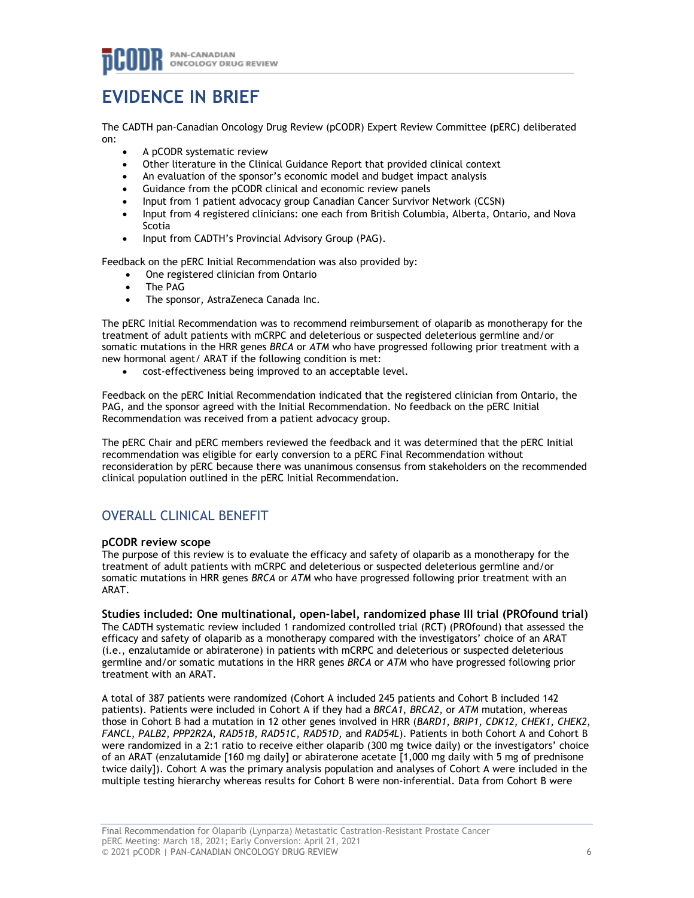# **EVIDENCE IN BRIEF**

The CADTH pan-Canadian Oncology Drug Review (pCODR) Expert Review Committee (pERC) deliberated on:

- A pCODR systematic review
- Other literature in the Clinical Guidance Report that provided clinical context
- An evaluation of the sponsor's economic model and budget impact analysis
- Guidance from the pCODR clinical and economic review panels
- Input from 1 patient advocacy group Canadian Cancer Survivor Network (CCSN)
- Input from 4 registered clinicians: one each from British Columbia, Alberta, Ontario, and Nova Scotia
- Input from CADTH's Provincial Advisory Group (PAG).

Feedback on the pERC Initial Recommendation was also provided by:

- One registered clinician from Ontario
- The PAG
- The sponsor, AstraZeneca Canada Inc.

The pERC Initial Recommendation was to recommend reimbursement of olaparib as monotherapy for the treatment of adult patients with mCRPC and deleterious or suspected deleterious germline and/or somatic mutations in the HRR genes *BRCA* or *ATM* who have progressed following prior treatment with a new hormonal agent/ ARAT if the following condition is met:

• cost-effectiveness being improved to an acceptable level.

Feedback on the pERC Initial Recommendation indicated that the registered clinician from Ontario, the PAG, and the sponsor agreed with the Initial Recommendation. No feedback on the pERC Initial Recommendation was received from a patient advocacy group.

The pERC Chair and pERC members reviewed the feedback and it was determined that the pERC Initial recommendation was eligible for early conversion to a pERC Final Recommendation without reconsideration by pERC because there was unanimous consensus from stakeholders on the recommended clinical population outlined in the pERC Initial Recommendation.

## OVERALL CLINICAL BENEFIT

#### **pCODR review scope**

The purpose of this review is to evaluate the efficacy and safety of olaparib as a monotherapy for the treatment of adult patients with mCRPC and deleterious or suspected deleterious germline and/or somatic mutations in HRR genes *BRCA* or *ATM* who have progressed following prior treatment with an ARAT.

#### **Studies included: One multinational, open-label, randomized phase III trial (PROfound trial)**

The CADTH systematic review included 1 randomized controlled trial (RCT) (PROfound) that assessed the efficacy and safety of olaparib as a monotherapy compared with the investigators' choice of an ARAT (i.e., enzalutamide or abiraterone) in patients with mCRPC and deleterious or suspected deleterious germline and/or somatic mutations in the HRR genes *BRCA* or *ATM* who have progressed following prior treatment with an ARAT.

A total of 387 patients were randomized (Cohort A included 245 patients and Cohort B included 142 patients). Patients were included in Cohort A if they had a *BRCA1*, *BRCA2*, or *ATM* mutation, whereas those in Cohort B had a mutation in 12 other genes involved in HRR (*BARD1*, *BRIP1*, *CDK12*, *CHEK1*, *CHEK2*, *FANCL*, *PALB2*, *PPP2R2A*, *RAD51B*, *RAD51C*, *RAD51D*, and *RAD54L*). Patients in both Cohort A and Cohort B were randomized in a 2:1 ratio to receive either olaparib (300 mg twice daily) or the investigators' choice of an ARAT (enzalutamide [160 mg daily] or abiraterone acetate [1,000 mg daily with 5 mg of prednisone twice daily]). Cohort A was the primary analysis population and analyses of Cohort A were included in the multiple testing hierarchy whereas results for Cohort B were non-inferential. Data from Cohort B were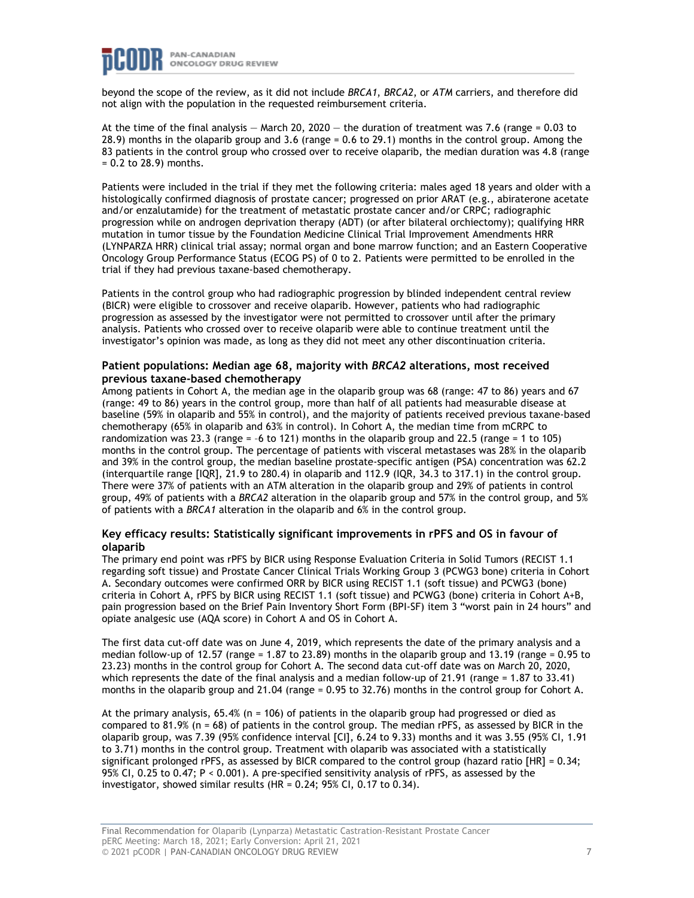

beyond the scope of the review, as it did not include *BRCA1*, *BRCA2*, or *ATM* carriers, and therefore did not align with the population in the requested reimbursement criteria.

At the time of the final analysis  $-$  March 20, 2020  $-$  the duration of treatment was 7.6 (range = 0.03 to 28.9) months in the olaparib group and 3.6 (range = 0.6 to 29.1) months in the control group. Among the 83 patients in the control group who crossed over to receive olaparib, the median duration was 4.8 (range = 0.2 to 28.9) months.

Patients were included in the trial if they met the following criteria: males aged 18 years and older with a histologically confirmed diagnosis of prostate cancer; progressed on prior ARAT (e.g., abiraterone acetate and/or enzalutamide) for the treatment of metastatic prostate cancer and/or CRPC; radiographic progression while on androgen deprivation therapy (ADT) (or after bilateral orchiectomy); qualifying HRR mutation in tumor tissue by the Foundation Medicine Clinical Trial Improvement Amendments HRR (LYNPARZA HRR) clinical trial assay; normal organ and bone marrow function; and an Eastern Cooperative Oncology Group Performance Status (ECOG PS) of 0 to 2. Patients were permitted to be enrolled in the trial if they had previous taxane-based chemotherapy.

Patients in the control group who had radiographic progression by blinded independent central review (BICR) were eligible to crossover and receive olaparib. However, patients who had radiographic progression as assessed by the investigator were not permitted to crossover until after the primary analysis. Patients who crossed over to receive olaparib were able to continue treatment until the investigator's opinion was made, as long as they did not meet any other discontinuation criteria.

#### **Patient populations: Median age 68, majority with** *BRCA2* **alterations, most received previous taxane-based chemotherapy**

Among patients in Cohort A, the median age in the olaparib group was 68 (range: 47 to 86) years and 67 (range: 49 to 86) years in the control group, more than half of all patients had measurable disease at baseline (59% in olaparib and 55% in control), and the majority of patients received previous taxane-based chemotherapy (65% in olaparib and 63% in control). In Cohort A, the median time from mCRPC to randomization was 23.3 (range  $= -6$  to 121) months in the olaparib group and 22.5 (range  $= 1$  to 105) months in the control group. The percentage of patients with visceral metastases was 28% in the olaparib and 39% in the control group, the median baseline prostate-specific antigen (PSA) concentration was 62.2 (interquartile range [IQR], 21.9 to 280.4) in olaparib and 112.9 (IQR, 34.3 to 317.1) in the control group. There were 37% of patients with an ATM alteration in the olaparib group and 29% of patients in control group, 49% of patients with a *BRCA2* alteration in the olaparib group and 57% in the control group, and 5% of patients with a *BRCA1* alteration in the olaparib and 6% in the control group.

#### **Key efficacy results: Statistically significant improvements in rPFS and OS in favour of olaparib**

The primary end point was rPFS by BICR using Response Evaluation Criteria in Solid Tumors (RECIST 1.1 regarding soft tissue) and Prostate Cancer Clinical Trials Working Group 3 (PCWG3 bone) criteria in Cohort A. Secondary outcomes were confirmed ORR by BICR using RECIST 1.1 (soft tissue) and PCWG3 (bone) criteria in Cohort A, rPFS by BICR using RECIST 1.1 (soft tissue) and PCWG3 (bone) criteria in Cohort A+B, pain progression based on the Brief Pain Inventory Short Form (BPI-SF) item 3 "worst pain in 24 hours" and opiate analgesic use (AQA score) in Cohort A and OS in Cohort A.

The first data cut-off date was on June 4, 2019, which represents the date of the primary analysis and a median follow-up of 12.57 (range = 1.87 to 23.89) months in the olaparib group and 13.19 (range = 0.95 to 23.23) months in the control group for Cohort A. The second data cut-off date was on March 20, 2020, which represents the date of the final analysis and a median follow-up of 21.91 (range = 1.87 to 33.41) months in the olaparib group and 21.04 (range = 0.95 to 32.76) months in the control group for Cohort A.

At the primary analysis,  $65.4\%$  (n = 106) of patients in the olaparib group had progressed or died as compared to 81.9% (n = 68) of patients in the control group. The median rPFS, as assessed by BICR in the olaparib group, was 7.39 (95% confidence interval [CI], 6.24 to 9.33) months and it was 3.55 (95% CI, 1.91 to 3.71) months in the control group. Treatment with olaparib was associated with a statistically significant prolonged rPFS, as assessed by BICR compared to the control group (hazard ratio [HR] = 0.34; 95% CI, 0.25 to 0.47; P < 0.001). A pre-specified sensitivity analysis of rPFS, as assessed by the investigator, showed similar results (HR = 0.24; 95% CI, 0.17 to 0.34).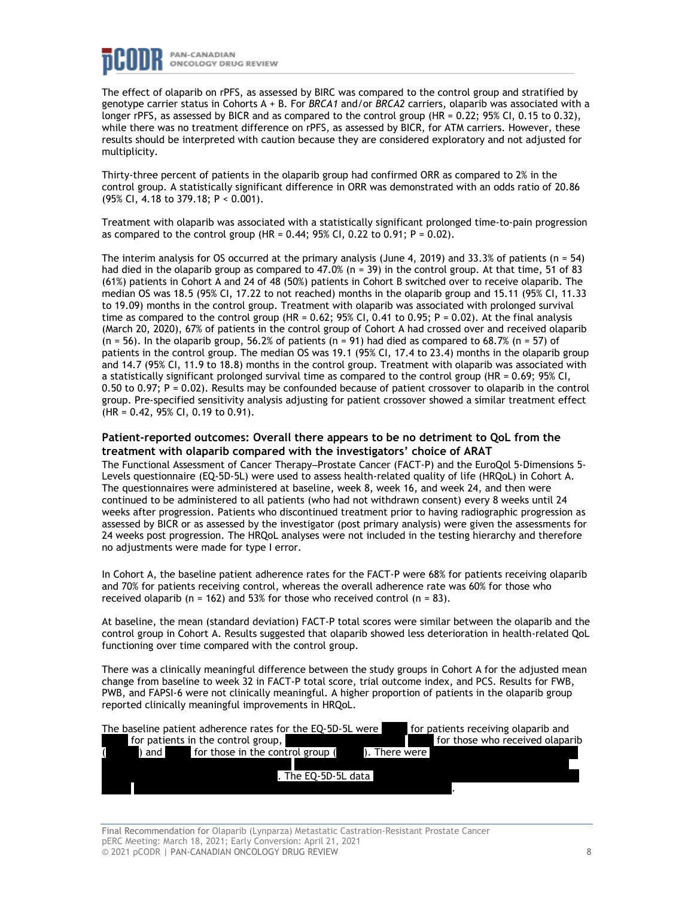

The effect of olaparib on rPFS, as assessed by BIRC was compared to the control group and stratified by genotype carrier status in Cohorts A + B. For *BRCA1* and/or *BRCA2* carriers, olaparib was associated with a longer rPFS, as assessed by BICR and as compared to the control group (HR = 0.22; 95% CI, 0.15 to 0.32), while there was no treatment difference on rPFS, as assessed by BICR, for ATM carriers. However, these results should be interpreted with caution because they are considered exploratory and not adjusted for multiplicity.

Thirty-three percent of patients in the olaparib group had confirmed ORR as compared to 2% in the control group. A statistically significant difference in ORR was demonstrated with an odds ratio of 20.86 (95% CI, 4.18 to 379.18; P < 0.001).

Treatment with olaparib was associated with a statistically significant prolonged time-to-pain progression as compared to the control group (HR =  $0.44$ ; 95% CI, 0.22 to 0.91; P =  $0.02$ ).

The interim analysis for OS occurred at the primary analysis (June 4, 2019) and 33.3% of patients (n = 54) had died in the olaparib group as compared to 47.0% (n = 39) in the control group. At that time, 51 of 83 (61%) patients in Cohort A and 24 of 48 (50%) patients in Cohort B switched over to receive olaparib. The median OS was 18.5 (95% CI, 17.22 to not reached) months in the olaparib group and 15.11 (95% CI, 11.33 to 19.09) months in the control group. Treatment with olaparib was associated with prolonged survival time as compared to the control group (HR =  $0.62$ ;  $95\%$  CI,  $0.41$  to  $0.95$ ; P =  $0.02$ ). At the final analysis (March 20, 2020), 67% of patients in the control group of Cohort A had crossed over and received olaparib  $(n = 56)$ . In the olaparib group, 56.2% of patients  $(n = 91)$  had died as compared to 68.7%  $(n = 57)$  of patients in the control group. The median OS was 19.1 (95% CI, 17.4 to 23.4) months in the olaparib group and 14.7 (95% CI, 11.9 to 18.8) months in the control group. Treatment with olaparib was associated with a statistically significant prolonged survival time as compared to the control group (HR = 0.69; 95% CI, 0.50 to 0.97; P = 0.02). Results may be confounded because of patient crossover to olaparib in the control group. Pre-specified sensitivity analysis adjusting for patient crossover showed a similar treatment effect (HR = 0.42, 95% CI, 0.19 to 0.91).

#### **Patient-reported outcomes: Overall there appears to be no detriment to QoL from the treatment with olaparib compared with the investigators' choice of ARAT**

The Functional Assessment of Cancer Therapy–Prostate Cancer (FACT-P) and the EuroQol 5-Dimensions 5-Levels questionnaire (EQ-5D-5L) were used to assess health-related quality of life (HRQoL) in Cohort A. The questionnaires were administered at baseline, week 8, week 16, and week 24, and then were continued to be administered to all patients (who had not withdrawn consent) every 8 weeks until 24 weeks after progression. Patients who discontinued treatment prior to having radiographic progression as assessed by BICR or as assessed by the investigator (post primary analysis) were given the assessments for 24 weeks post progression. The HRQoL analyses were not included in the testing hierarchy and therefore no adjustments were made for type I error.

In Cohort A, the baseline patient adherence rates for the FACT-P were 68% for patients receiving olaparib and 70% for patients receiving control, whereas the overall adherence rate was 60% for those who received olaparib ( $n = 162$ ) and 53% for those who received control ( $n = 83$ ).

At baseline, the mean (standard deviation) FACT-P total scores were similar between the olaparib and the control group in Cohort A. Results suggested that olaparib showed less deterioration in health-related QoL functioning over time compared with the control group.

There was a clinically meaningful difference between the study groups in Cohort A for the adjusted mean change from baseline to week 32 in FACT-P total score, trial outcome index, and PCS. Results for FWB, PWB, and FAPSI-6 were not clinically meaningful. A higher proportion of patients in the olaparib group reported clinically meaningful improvements in HRQoL.

| The baseline patient adherence rates for the EQ-5D-5L were             | for patients receiving olaparib and |
|------------------------------------------------------------------------|-------------------------------------|
| for patients in the control group,                                     | for those who received olaparib     |
| for those in the control group (<br>, and $\blacksquare$<br>There were |                                     |
|                                                                        |                                     |
| The EO-5D-5L data                                                      |                                     |
|                                                                        |                                     |

Final Recommendation for Olaparib (Lynparza) Metastatic Castration-Resistant Prostate Cancer pERC Meeting: March 18, 2021; Early Conversion: April 21, 2021 © 2021 pCODR | PAN-CANADIAN ONCOLOGY DRUG REVIEW 8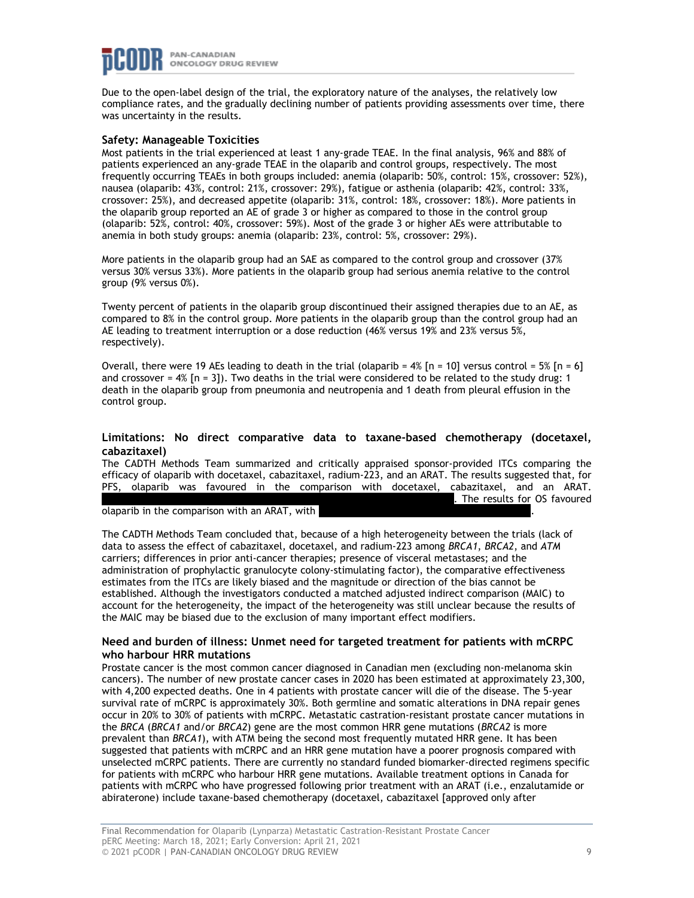

Due to the open-label design of the trial, the exploratory nature of the analyses, the relatively low compliance rates, and the gradually declining number of patients providing assessments over time, there was uncertainty in the results.

#### **Safety: Manageable Toxicities**

Most patients in the trial experienced at least 1 any-grade TEAE. In the final analysis, 96% and 88% of patients experienced an any-grade TEAE in the olaparib and control groups, respectively. The most frequently occurring TEAEs in both groups included: anemia (olaparib: 50%, control: 15%, crossover: 52%), nausea (olaparib: 43%, control: 21%, crossover: 29%), fatigue or asthenia (olaparib: 42%, control: 33%, crossover: 25%), and decreased appetite (olaparib: 31%, control: 18%, crossover: 18%). More patients in the olaparib group reported an AE of grade 3 or higher as compared to those in the control group (olaparib: 52%, control: 40%, crossover: 59%). Most of the grade 3 or higher AEs were attributable to anemia in both study groups: anemia (olaparib: 23%, control: 5%, crossover: 29%).

More patients in the olaparib group had an SAE as compared to the control group and crossover (37% versus 30% versus 33%). More patients in the olaparib group had serious anemia relative to the control group (9% versus 0%).

Twenty percent of patients in the olaparib group discontinued their assigned therapies due to an AE, as compared to 8% in the control group. More patients in the olaparib group than the control group had an AE leading to treatment interruption or a dose reduction (46% versus 19% and 23% versus 5%, respectively).

Overall, there were 19 AEs leading to death in the trial (olaparib =  $4\%$  [n = 10] versus control = 5% [n = 6] and crossover =  $4\%$  [n = 3]). Two deaths in the trial were considered to be related to the study drug: 1 death in the olaparib group from pneumonia and neutropenia and 1 death from pleural effusion in the control group.

#### **Limitations: No direct comparative data to taxane-based chemotherapy (docetaxel, cabazitaxel)**

The CADTH Methods Team summarized and critically appraised sponsor-provided ITCs comparing the efficacy of olaparib with docetaxel, cabazitaxel, radium-223, and an ARAT. The results suggested that, for PFS, olaparib was favoured in the comparison with docetaxel, cabazitaxel, and an ARAT. . The results for OS favoured

olaparib in the comparison with an ARAT, with .

The CADTH Methods Team concluded that, because of a high heterogeneity between the trials (lack of data to assess the effect of cabazitaxel, docetaxel, and radium-223 among *BRCA1*, *BRCA2*, and *ATM* carriers; differences in prior anti-cancer therapies; presence of visceral metastases; and the administration of prophylactic granulocyte colony-stimulating factor), the comparative effectiveness estimates from the ITCs are likely biased and the magnitude or direction of the bias cannot be established. Although the investigators conducted a matched adjusted indirect comparison (MAIC) to account for the heterogeneity, the impact of the heterogeneity was still unclear because the results of the MAIC may be biased due to the exclusion of many important effect modifiers.

#### **Need and burden of illness: Unmet need for targeted treatment for patients with mCRPC who harbour HRR mutations**

Prostate cancer is the most common cancer diagnosed in Canadian men (excluding non-melanoma skin cancers). The number of new prostate cancer cases in 2020 has been estimated at approximately 23,300, with 4,200 expected deaths. One in 4 patients with prostate cancer will die of the disease. The 5-year survival rate of mCRPC is approximately 30%. Both germline and somatic alterations in DNA repair genes occur in 20% to 30% of patients with mCRPC. Metastatic castration-resistant prostate cancer mutations in the *BRCA* (*BRCA1* and/or *BRCA2*) gene are the most common HRR gene mutations (*BRCA2* is more prevalent than *BRCA1*), with ATM being the second most frequently mutated HRR gene. It has been suggested that patients with mCRPC and an HRR gene mutation have a poorer prognosis compared with unselected mCRPC patients. There are currently no standard funded biomarker-directed regimens specific for patients with mCRPC who harbour HRR gene mutations. Available treatment options in Canada for patients with mCRPC who have progressed following prior treatment with an ARAT (i.e., enzalutamide or abiraterone) include taxane-based chemotherapy (docetaxel, cabazitaxel [approved only after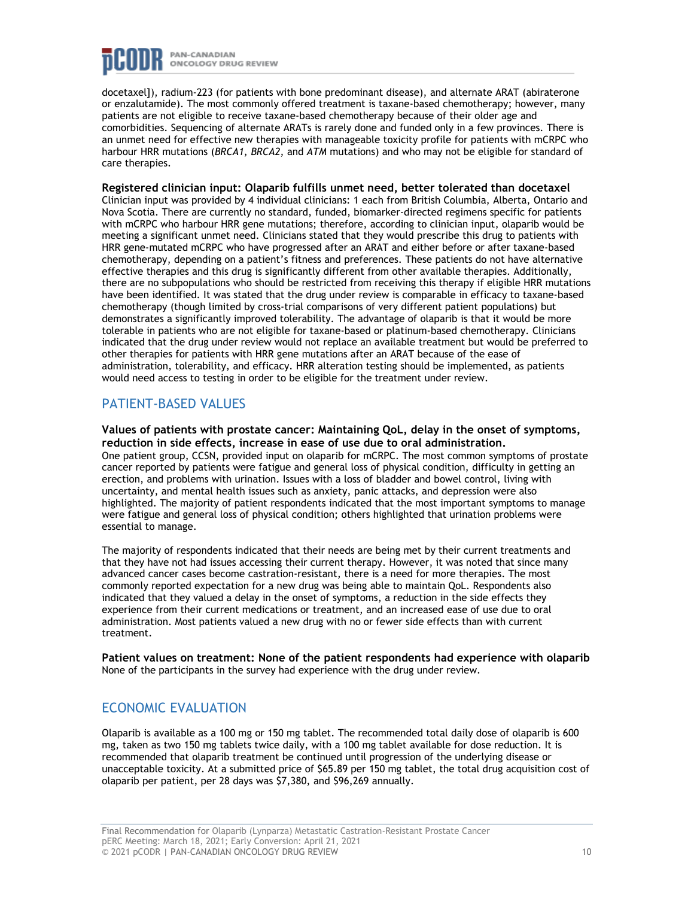

docetaxel]), radium-223 (for patients with bone predominant disease), and alternate ARAT (abiraterone or enzalutamide). The most commonly offered treatment is taxane-based chemotherapy; however, many patients are not eligible to receive taxane-based chemotherapy because of their older age and comorbidities. Sequencing of alternate ARATs is rarely done and funded only in a few provinces. There is an unmet need for effective new therapies with manageable toxicity profile for patients with mCRPC who harbour HRR mutations (*BRCA1*, *BRCA2*, and *ATM* mutations) and who may not be eligible for standard of care therapies.

**Registered clinician input: Olaparib fulfills unmet need, better tolerated than docetaxel** Clinician input was provided by 4 individual clinicians: 1 each from British Columbia, Alberta, Ontario and Nova Scotia. There are currently no standard, funded, biomarker-directed regimens specific for patients with mCRPC who harbour HRR gene mutations; therefore, according to clinician input, olaparib would be meeting a significant unmet need. Clinicians stated that they would prescribe this drug to patients with HRR gene-mutated mCRPC who have progressed after an ARAT and either before or after taxane-based chemotherapy, depending on a patient's fitness and preferences. These patients do not have alternative effective therapies and this drug is significantly different from other available therapies. Additionally, there are no subpopulations who should be restricted from receiving this therapy if eligible HRR mutations have been identified. It was stated that the drug under review is comparable in efficacy to taxane-based chemotherapy (though limited by cross-trial comparisons of very different patient populations) but demonstrates a significantly improved tolerability. The advantage of olaparib is that it would be more tolerable in patients who are not eligible for taxane-based or platinum-based chemotherapy. Clinicians indicated that the drug under review would not replace an available treatment but would be preferred to other therapies for patients with HRR gene mutations after an ARAT because of the ease of administration, tolerability, and efficacy. HRR alteration testing should be implemented, as patients would need access to testing in order to be eligible for the treatment under review.

## PATIENT-BASED VALUES

**Values of patients with prostate cancer: Maintaining QoL, delay in the onset of symptoms, reduction in side effects, increase in ease of use due to oral administration.** One patient group, CCSN, provided input on olaparib for mCRPC. The most common symptoms of prostate cancer reported by patients were fatigue and general loss of physical condition, difficulty in getting an erection, and problems with urination. Issues with a loss of bladder and bowel control, living with uncertainty, and mental health issues such as anxiety, panic attacks, and depression were also highlighted. The majority of patient respondents indicated that the most important symptoms to manage were fatigue and general loss of physical condition; others highlighted that urination problems were essential to manage.

The majority of respondents indicated that their needs are being met by their current treatments and that they have not had issues accessing their current therapy. However, it was noted that since many advanced cancer cases become castration-resistant, there is a need for more therapies. The most commonly reported expectation for a new drug was being able to maintain QoL. Respondents also indicated that they valued a delay in the onset of symptoms, a reduction in the side effects they experience from their current medications or treatment, and an increased ease of use due to oral administration. Most patients valued a new drug with no or fewer side effects than with current treatment.

**Patient values on treatment: None of the patient respondents had experience with olaparib** None of the participants in the survey had experience with the drug under review.

# ECONOMIC EVALUATION

Olaparib is available as a 100 mg or 150 mg tablet. The recommended total daily dose of olaparib is 600 mg, taken as two 150 mg tablets twice daily, with a 100 mg tablet available for dose reduction. It is recommended that olaparib treatment be continued until progression of the underlying disease or unacceptable toxicity. At a submitted price of \$65.89 per 150 mg tablet, the total drug acquisition cost of olaparib per patient, per 28 days was \$7,380, and \$96,269 annually.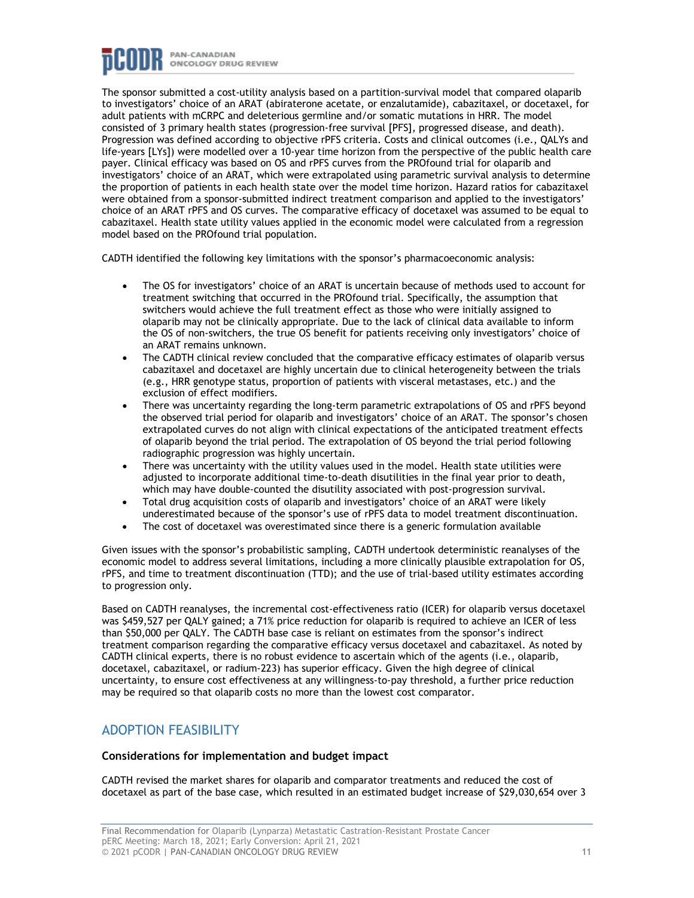

The sponsor submitted a cost-utility analysis based on a partition-survival model that compared olaparib to investigators' choice of an ARAT (abiraterone acetate, or enzalutamide), cabazitaxel, or docetaxel, for adult patients with mCRPC and deleterious germline and/or somatic mutations in HRR. The model consisted of 3 primary health states (progression-free survival [PFS], progressed disease, and death). Progression was defined according to objective rPFS criteria. Costs and clinical outcomes (i.e., QALYs and life-years [LYs]) were modelled over a 10-year time horizon from the perspective of the public health care payer. Clinical efficacy was based on OS and rPFS curves from the PROfound trial for olaparib and investigators' choice of an ARAT, which were extrapolated using parametric survival analysis to determine the proportion of patients in each health state over the model time horizon. Hazard ratios for cabazitaxel were obtained from a sponsor-submitted indirect treatment comparison and applied to the investigators' choice of an ARAT rPFS and OS curves. The comparative efficacy of docetaxel was assumed to be equal to cabazitaxel. Health state utility values applied in the economic model were calculated from a regression model based on the PROfound trial population.

CADTH identified the following key limitations with the sponsor's pharmacoeconomic analysis:

- The OS for investigators' choice of an ARAT is uncertain because of methods used to account for treatment switching that occurred in the PROfound trial. Specifically, the assumption that switchers would achieve the full treatment effect as those who were initially assigned to olaparib may not be clinically appropriate. Due to the lack of clinical data available to inform the OS of non-switchers, the true OS benefit for patients receiving only investigators' choice of an ARAT remains unknown.
- The CADTH clinical review concluded that the comparative efficacy estimates of olaparib versus cabazitaxel and docetaxel are highly uncertain due to clinical heterogeneity between the trials (e.g., HRR genotype status, proportion of patients with visceral metastases, etc.) and the exclusion of effect modifiers.
- There was uncertainty regarding the long-term parametric extrapolations of OS and rPFS beyond the observed trial period for olaparib and investigators' choice of an ARAT. The sponsor's chosen extrapolated curves do not align with clinical expectations of the anticipated treatment effects of olaparib beyond the trial period. The extrapolation of OS beyond the trial period following radiographic progression was highly uncertain.
- There was uncertainty with the utility values used in the model. Health state utilities were adjusted to incorporate additional time-to-death disutilities in the final year prior to death, which may have double-counted the disutility associated with post-progression survival.
- Total drug acquisition costs of olaparib and investigators' choice of an ARAT were likely underestimated because of the sponsor's use of rPFS data to model treatment discontinuation.
- The cost of docetaxel was overestimated since there is a generic formulation available

Given issues with the sponsor's probabilistic sampling, CADTH undertook deterministic reanalyses of the economic model to address several limitations, including a more clinically plausible extrapolation for OS, rPFS, and time to treatment discontinuation (TTD); and the use of trial-based utility estimates according to progression only.

Based on CADTH reanalyses, the incremental cost-effectiveness ratio (ICER) for olaparib versus docetaxel was \$459,527 per QALY gained; a 71% price reduction for olaparib is required to achieve an ICER of less than \$50,000 per QALY. The CADTH base case is reliant on estimates from the sponsor's indirect treatment comparison regarding the comparative efficacy versus docetaxel and cabazitaxel. As noted by CADTH clinical experts, there is no robust evidence to ascertain which of the agents (i.e., olaparib, docetaxel, cabazitaxel, or radium-223) has superior efficacy. Given the high degree of clinical uncertainty, to ensure cost effectiveness at any willingness-to-pay threshold, a further price reduction may be required so that olaparib costs no more than the lowest cost comparator.

### ADOPTION FEASIBILITY

#### **Considerations for implementation and budget impact**

CADTH revised the market shares for olaparib and comparator treatments and reduced the cost of docetaxel as part of the base case, which resulted in an estimated budget increase of \$29,030,654 over 3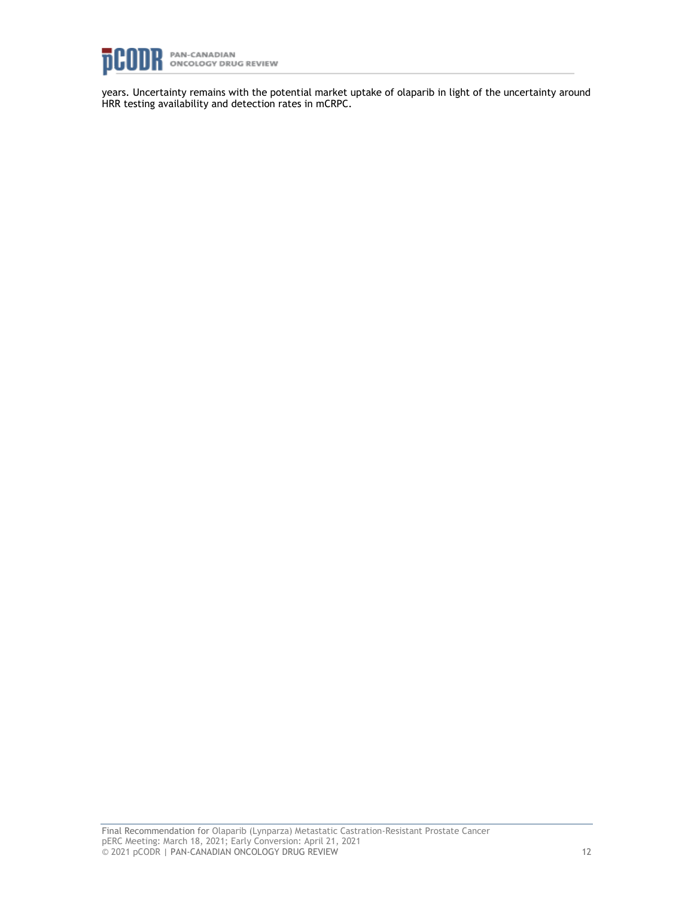

years. Uncertainty remains with the potential market uptake of olaparib in light of the uncertainty around HRR testing availability and detection rates in mCRPC.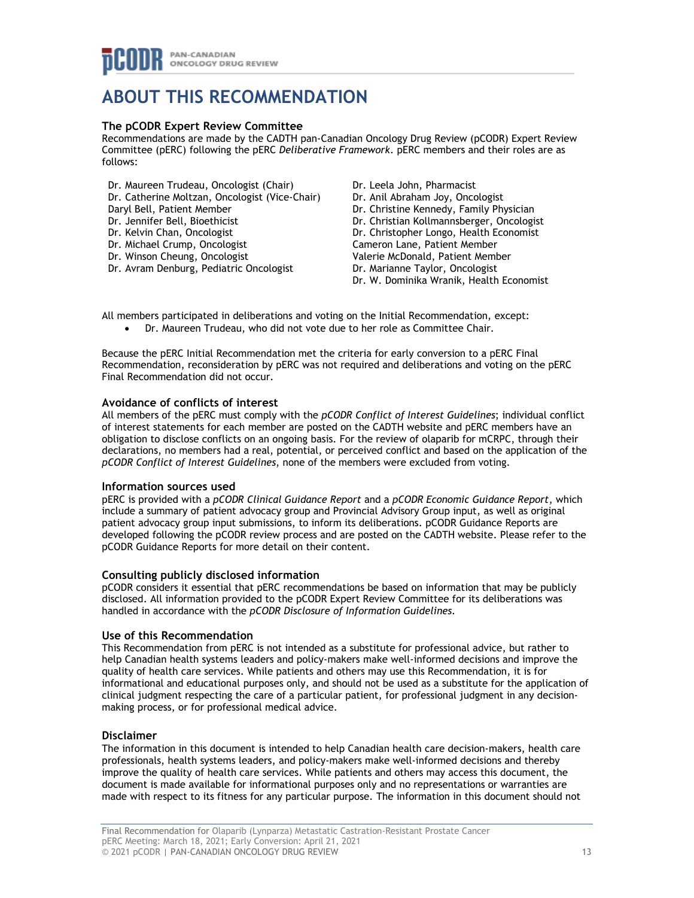# **ABOUT THIS RECOMMENDATION**

#### **The pCODR Expert Review Committee**

Recommendations are made by the CADTH pan-Canadian Oncology Drug Review (pCODR) Expert Review Committee (pERC) following the pERC *Deliberative Framework*. pERC members and their roles are as follows:

Dr. Maureen Trudeau, Oncologist (Chair) Dr. Catherine Moltzan, Oncologist (Vice-Chair) Daryl Bell, Patient Member Dr. Jennifer Bell, Bioethicist Dr. Kelvin Chan, Oncologist Dr. Michael Crump, Oncologist Dr. Winson Cheung, Oncologist Dr. Avram Denburg, Pediatric Oncologist

Dr. Leela John, Pharmacist Dr. Anil Abraham Joy, Oncologist Dr. Christine Kennedy, Family Physician Dr. Christian Kollmannsberger, Oncologist Dr. Christopher Longo, Health Economist Cameron Lane, Patient Member Valerie McDonald, Patient Member Dr. Marianne Taylor, Oncologist Dr. W. Dominika Wranik, Health Economist

All members participated in deliberations and voting on the Initial Recommendation, except:

• Dr. Maureen Trudeau, who did not vote due to her role as Committee Chair.

Because the pERC Initial Recommendation met the criteria for early conversion to a pERC Final Recommendation, reconsideration by pERC was not required and deliberations and voting on the pERC Final Recommendation did not occur.

#### **Avoidance of conflicts of interest**

All members of the pERC must comply with the *pCODR Conflict of Interest Guidelines*; individual conflict of interest statements for each member are posted on the CADTH website and pERC members have an obligation to disclose conflicts on an ongoing basis. For the review of olaparib for mCRPC, through their declarations, no members had a real, potential, or perceived conflict and based on the application of the *pCODR Conflict of Interest Guidelines*, none of the members were excluded from voting.

#### **Information sources used**

pERC is provided with a *pCODR Clinical Guidance Report* and a *pCODR Economic Guidance Report*, which include a summary of patient advocacy group and Provincial Advisory Group input, as well as original patient advocacy group input submissions, to inform its deliberations. pCODR Guidance Reports are developed following the pCODR review process and are posted on the CADTH website. Please refer to the pCODR Guidance Reports for more detail on their content.

#### **Consulting publicly disclosed information**

pCODR considers it essential that pERC recommendations be based on information that may be publicly disclosed. All information provided to the pCODR Expert Review Committee for its deliberations was handled in accordance with the *pCODR Disclosure of Information Guidelines*.

#### **Use of this Recommendation**

This Recommendation from pERC is not intended as a substitute for professional advice, but rather to help Canadian health systems leaders and policy-makers make well-informed decisions and improve the quality of health care services. While patients and others may use this Recommendation, it is for informational and educational purposes only, and should not be used as a substitute for the application of clinical judgment respecting the care of a particular patient, for professional judgment in any decisionmaking process, or for professional medical advice.

#### **Disclaimer**

The information in this document is intended to help Canadian health care decision-makers, health care professionals, health systems leaders, and policy-makers make well-informed decisions and thereby improve the quality of health care services. While patients and others may access this document, the document is made available for informational purposes only and no representations or warranties are made with respect to its fitness for any particular purpose. The information in this document should not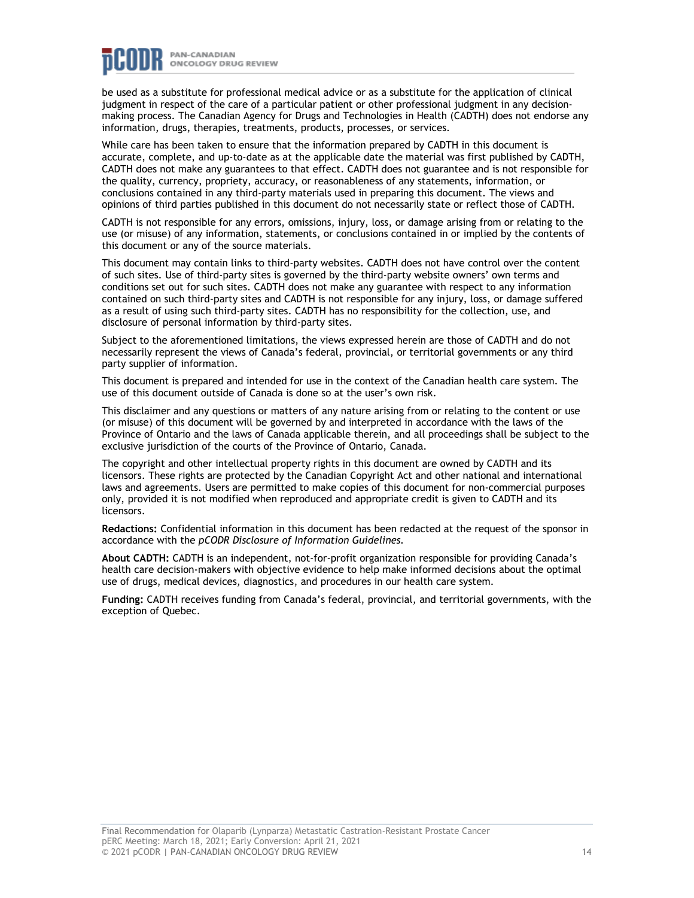

be used as a substitute for professional medical advice or as a substitute for the application of clinical judgment in respect of the care of a particular patient or other professional judgment in any decisionmaking process. The Canadian Agency for Drugs and Technologies in Health (CADTH) does not endorse any information, drugs, therapies, treatments, products, processes, or services.

While care has been taken to ensure that the information prepared by CADTH in this document is accurate, complete, and up-to-date as at the applicable date the material was first published by CADTH, CADTH does not make any guarantees to that effect. CADTH does not guarantee and is not responsible for the quality, currency, propriety, accuracy, or reasonableness of any statements, information, or conclusions contained in any third-party materials used in preparing this document. The views and opinions of third parties published in this document do not necessarily state or reflect those of CADTH.

CADTH is not responsible for any errors, omissions, injury, loss, or damage arising from or relating to the use (or misuse) of any information, statements, or conclusions contained in or implied by the contents of this document or any of the source materials.

This document may contain links to third-party websites. CADTH does not have control over the content of such sites. Use of third-party sites is governed by the third-party website owners' own terms and conditions set out for such sites. CADTH does not make any guarantee with respect to any information contained on such third-party sites and CADTH is not responsible for any injury, loss, or damage suffered as a result of using such third-party sites. CADTH has no responsibility for the collection, use, and disclosure of personal information by third-party sites.

Subject to the aforementioned limitations, the views expressed herein are those of CADTH and do not necessarily represent the views of Canada's federal, provincial, or territorial governments or any third party supplier of information.

This document is prepared and intended for use in the context of the Canadian health care system. The use of this document outside of Canada is done so at the user's own risk.

This disclaimer and any questions or matters of any nature arising from or relating to the content or use (or misuse) of this document will be governed by and interpreted in accordance with the laws of the Province of Ontario and the laws of Canada applicable therein, and all proceedings shall be subject to the exclusive jurisdiction of the courts of the Province of Ontario, Canada.

The copyright and other intellectual property rights in this document are owned by CADTH and its licensors. These rights are protected by the Canadian Copyright Act and other national and international laws and agreements. Users are permitted to make copies of this document for non-commercial purposes only, provided it is not modified when reproduced and appropriate credit is given to CADTH and its licensors.

**Redactions:** Confidential information in this document has been redacted at the request of the sponsor in accordance with the *pCODR Disclosure of Information Guidelines.*

**About CADTH:** CADTH is an independent, not-for-profit organization responsible for providing Canada's health care decision-makers with objective evidence to help make informed decisions about the optimal use of drugs, medical devices, diagnostics, and procedures in our health care system.

**Funding:** CADTH receives funding from Canada's federal, provincial, and territorial governments, with the exception of Quebec.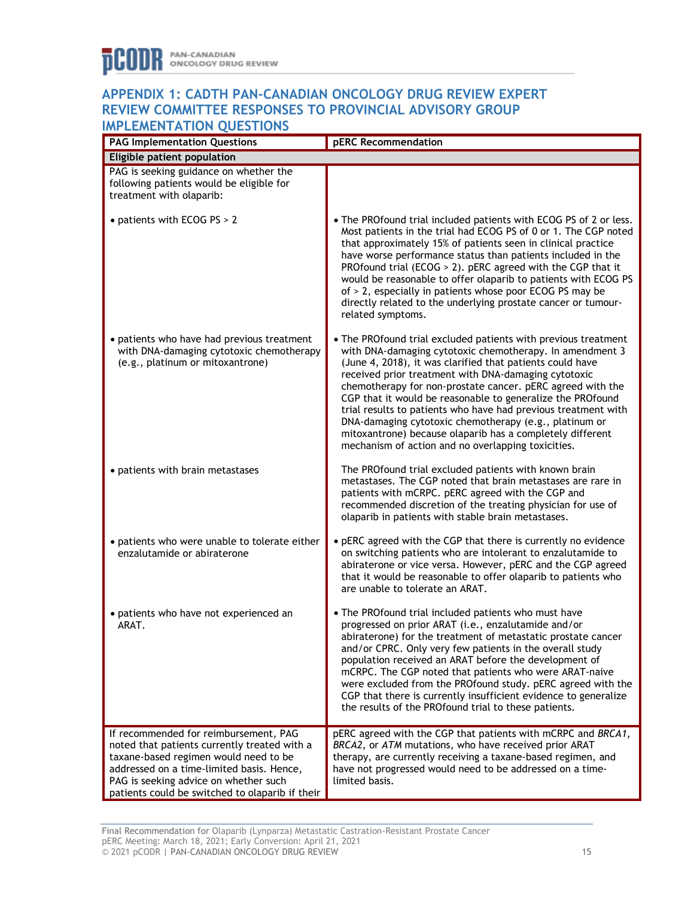### **APPENDIX 1: CADTH PAN-CANADIAN ONCOLOGY DRUG REVIEW EXPERT REVIEW COMMITTEE RESPONSES TO PROVINCIAL ADVISORY GROUP IMPLEMENTATION OLIESTIONS**

| <b>INTELMENTATION QUESTIONS</b><br><b>PAG Implementation Questions</b>                                                                                                                                                                                                  | pERC Recommendation                                                                                                                                                                                                                                                                                                                                                                                                                                                                                                                                                                                                        |
|-------------------------------------------------------------------------------------------------------------------------------------------------------------------------------------------------------------------------------------------------------------------------|----------------------------------------------------------------------------------------------------------------------------------------------------------------------------------------------------------------------------------------------------------------------------------------------------------------------------------------------------------------------------------------------------------------------------------------------------------------------------------------------------------------------------------------------------------------------------------------------------------------------------|
| Eligible patient population                                                                                                                                                                                                                                             |                                                                                                                                                                                                                                                                                                                                                                                                                                                                                                                                                                                                                            |
| PAG is seeking guidance on whether the<br>following patients would be eligible for<br>treatment with olaparib:                                                                                                                                                          |                                                                                                                                                                                                                                                                                                                                                                                                                                                                                                                                                                                                                            |
| • patients with ECOG PS > 2                                                                                                                                                                                                                                             | • The PROfound trial included patients with ECOG PS of 2 or less.<br>Most patients in the trial had ECOG PS of 0 or 1. The CGP noted<br>that approximately 15% of patients seen in clinical practice<br>have worse performance status than patients included in the<br>PROfound trial (ECOG > 2). pERC agreed with the CGP that it<br>would be reasonable to offer olaparib to patients with ECOG PS<br>of > 2, especially in patients whose poor ECOG PS may be<br>directly related to the underlying prostate cancer or tumour-<br>related symptoms.                                                                     |
| • patients who have had previous treatment<br>with DNA-damaging cytotoxic chemotherapy<br>(e.g., platinum or mitoxantrone)                                                                                                                                              | • The PROfound trial excluded patients with previous treatment<br>with DNA-damaging cytotoxic chemotherapy. In amendment 3<br>(June 4, 2018), it was clarified that patients could have<br>received prior treatment with DNA-damaging cytotoxic<br>chemotherapy for non-prostate cancer. pERC agreed with the<br>CGP that it would be reasonable to generalize the PROfound<br>trial results to patients who have had previous treatment with<br>DNA-damaging cytotoxic chemotherapy (e.g., platinum or<br>mitoxantrone) because olaparib has a completely different<br>mechanism of action and no overlapping toxicities. |
| • patients with brain metastases                                                                                                                                                                                                                                        | The PROfound trial excluded patients with known brain<br>metastases. The CGP noted that brain metastases are rare in<br>patients with mCRPC. pERC agreed with the CGP and<br>recommended discretion of the treating physician for use of<br>olaparib in patients with stable brain metastases.                                                                                                                                                                                                                                                                                                                             |
| • patients who were unable to tolerate either<br>enzalutamide or abiraterone                                                                                                                                                                                            | • pERC agreed with the CGP that there is currently no evidence<br>on switching patients who are intolerant to enzalutamide to<br>abiraterone or vice versa. However, pERC and the CGP agreed<br>that it would be reasonable to offer olaparib to patients who<br>are unable to tolerate an ARAT.                                                                                                                                                                                                                                                                                                                           |
| • patients who have not experienced an<br>ARAT.                                                                                                                                                                                                                         | . The PROfound trial included patients who must have<br>progressed on prior ARAT (i.e., enzalutamide and/or<br>abiraterone) for the treatment of metastatic prostate cancer<br>and/or CPRC. Only very few patients in the overall study<br>population received an ARAT before the development of<br>mCRPC. The CGP noted that patients who were ARAT-naive<br>were excluded from the PROfound study, pERC agreed with the<br>CGP that there is currently insufficient evidence to generalize<br>the results of the PROfound trial to these patients.                                                                       |
| If recommended for reimbursement, PAG<br>noted that patients currently treated with a<br>taxane-based regimen would need to be<br>addressed on a time-limited basis. Hence,<br>PAG is seeking advice on whether such<br>patients could be switched to olaparib if their | pERC agreed with the CGP that patients with mCRPC and BRCA1,<br>BRCA2, or ATM mutations, who have received prior ARAT<br>therapy, are currently receiving a taxane-based regimen, and<br>have not progressed would need to be addressed on a time-<br>limited basis.                                                                                                                                                                                                                                                                                                                                                       |

Final Recommendation for Olaparib (Lynparza) Metastatic Castration-Resistant Prostate Cancer pERC Meeting: March 18, 2021; Early Conversion: April 21, 2021 © 2021 pCODR | PAN-CANADIAN ONCOLOGY DRUG REVIEW 15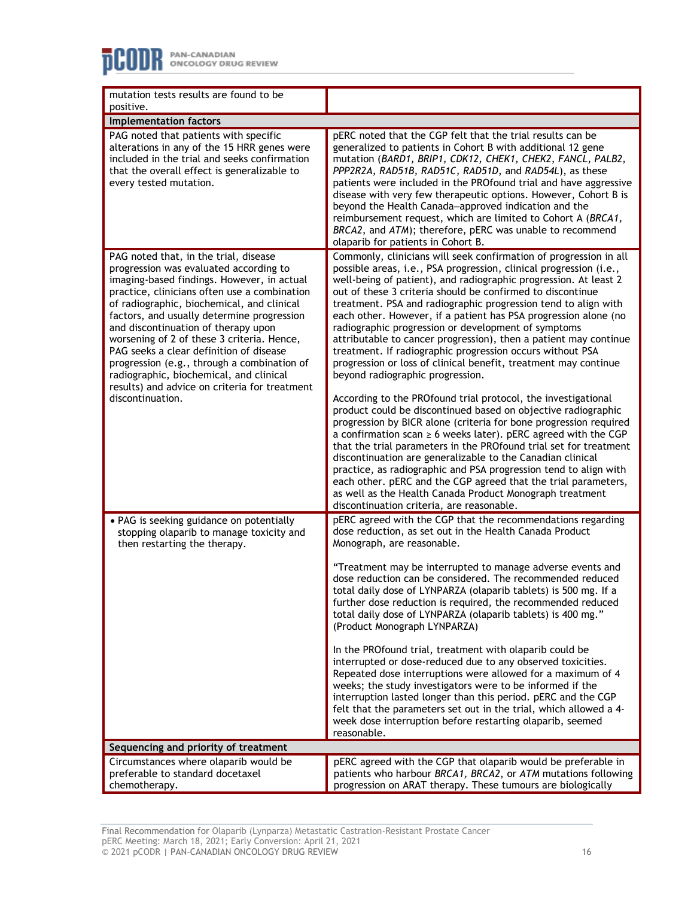| mutation tests results are found to be<br>positive.                                                                                                                                                                                                                                                                                                                                                                                                                                                                             |                                                                                                                                                                                                                                                                                                                                                                                                                                                                                                                                                                                                                                                                                                                                                                                                                                                                                                                                                                                                                                                                                                                                                                                                                                                                                                          |  |
|---------------------------------------------------------------------------------------------------------------------------------------------------------------------------------------------------------------------------------------------------------------------------------------------------------------------------------------------------------------------------------------------------------------------------------------------------------------------------------------------------------------------------------|----------------------------------------------------------------------------------------------------------------------------------------------------------------------------------------------------------------------------------------------------------------------------------------------------------------------------------------------------------------------------------------------------------------------------------------------------------------------------------------------------------------------------------------------------------------------------------------------------------------------------------------------------------------------------------------------------------------------------------------------------------------------------------------------------------------------------------------------------------------------------------------------------------------------------------------------------------------------------------------------------------------------------------------------------------------------------------------------------------------------------------------------------------------------------------------------------------------------------------------------------------------------------------------------------------|--|
| <b>Implementation factors</b>                                                                                                                                                                                                                                                                                                                                                                                                                                                                                                   |                                                                                                                                                                                                                                                                                                                                                                                                                                                                                                                                                                                                                                                                                                                                                                                                                                                                                                                                                                                                                                                                                                                                                                                                                                                                                                          |  |
| PAG noted that patients with specific                                                                                                                                                                                                                                                                                                                                                                                                                                                                                           | pERC noted that the CGP felt that the trial results can be                                                                                                                                                                                                                                                                                                                                                                                                                                                                                                                                                                                                                                                                                                                                                                                                                                                                                                                                                                                                                                                                                                                                                                                                                                               |  |
| alterations in any of the 15 HRR genes were<br>included in the trial and seeks confirmation<br>that the overall effect is generalizable to<br>every tested mutation.                                                                                                                                                                                                                                                                                                                                                            | generalized to patients in Cohort B with additional 12 gene<br>mutation (BARD1, BRIP1, CDK12, CHEK1, CHEK2, FANCL, PALB2,<br>PPP2R2A, RAD51B, RAD51C, RAD51D, and RAD54L), as these<br>patients were included in the PROfound trial and have aggressive<br>disease with very few therapeutic options. However, Cohort B is<br>beyond the Health Canada-approved indication and the<br>reimbursement request, which are limited to Cohort A (BRCA1,<br>BRCA2, and ATM); therefore, pERC was unable to recommend<br>olaparib for patients in Cohort B.                                                                                                                                                                                                                                                                                                                                                                                                                                                                                                                                                                                                                                                                                                                                                     |  |
| PAG noted that, in the trial, disease                                                                                                                                                                                                                                                                                                                                                                                                                                                                                           | Commonly, clinicians will seek confirmation of progression in all                                                                                                                                                                                                                                                                                                                                                                                                                                                                                                                                                                                                                                                                                                                                                                                                                                                                                                                                                                                                                                                                                                                                                                                                                                        |  |
| progression was evaluated according to<br>imaging-based findings. However, in actual<br>practice, clinicians often use a combination<br>of radiographic, biochemical, and clinical<br>factors, and usually determine progression<br>and discontinuation of therapy upon<br>worsening of 2 of these 3 criteria. Hence,<br>PAG seeks a clear definition of disease<br>progression (e.g., through a combination of<br>radiographic, biochemical, and clinical<br>results) and advice on criteria for treatment<br>discontinuation. | possible areas, i.e., PSA progression, clinical progression (i.e.,<br>well-being of patient), and radiographic progression. At least 2<br>out of these 3 criteria should be confirmed to discontinue<br>treatment. PSA and radiographic progression tend to align with<br>each other. However, if a patient has PSA progression alone (no<br>radiographic progression or development of symptoms<br>attributable to cancer progression), then a patient may continue<br>treatment. If radiographic progression occurs without PSA<br>progression or loss of clinical benefit, treatment may continue<br>beyond radiographic progression.<br>According to the PROfound trial protocol, the investigational<br>product could be discontinued based on objective radiographic<br>progression by BICR alone (criteria for bone progression required<br>a confirmation scan $\geq 6$ weeks later). pERC agreed with the CGP<br>that the trial parameters in the PROfound trial set for treatment<br>discontinuation are generalizable to the Canadian clinical<br>practice, as radiographic and PSA progression tend to align with<br>each other. pERC and the CGP agreed that the trial parameters,<br>as well as the Health Canada Product Monograph treatment<br>discontinuation criteria, are reasonable. |  |
| • PAG is seeking guidance on potentially<br>stopping olaparib to manage toxicity and<br>then restarting the therapy.                                                                                                                                                                                                                                                                                                                                                                                                            | pERC agreed with the CGP that the recommendations regarding<br>dose reduction, as set out in the Health Canada Product<br>Monograph, are reasonable.                                                                                                                                                                                                                                                                                                                                                                                                                                                                                                                                                                                                                                                                                                                                                                                                                                                                                                                                                                                                                                                                                                                                                     |  |
|                                                                                                                                                                                                                                                                                                                                                                                                                                                                                                                                 | "Treatment may be interrupted to manage adverse events and<br>dose reduction can be considered. The recommended reduced<br>total daily dose of LYNPARZA (olaparib tablets) is 500 mg. If a<br>further dose reduction is required, the recommended reduced<br>total daily dose of LYNPARZA (olaparib tablets) is 400 mg."<br>(Product Monograph LYNPARZA)                                                                                                                                                                                                                                                                                                                                                                                                                                                                                                                                                                                                                                                                                                                                                                                                                                                                                                                                                 |  |
|                                                                                                                                                                                                                                                                                                                                                                                                                                                                                                                                 | In the PROfound trial, treatment with olaparib could be<br>interrupted or dose-reduced due to any observed toxicities.<br>Repeated dose interruptions were allowed for a maximum of 4<br>weeks; the study investigators were to be informed if the<br>interruption lasted longer than this period. pERC and the CGP<br>felt that the parameters set out in the trial, which allowed a 4-<br>week dose interruption before restarting olaparib, seemed<br>reasonable.                                                                                                                                                                                                                                                                                                                                                                                                                                                                                                                                                                                                                                                                                                                                                                                                                                     |  |
| Sequencing and priority of treatment                                                                                                                                                                                                                                                                                                                                                                                                                                                                                            |                                                                                                                                                                                                                                                                                                                                                                                                                                                                                                                                                                                                                                                                                                                                                                                                                                                                                                                                                                                                                                                                                                                                                                                                                                                                                                          |  |
| Circumstances where olaparib would be<br>preferable to standard docetaxel<br>chemotherapy.                                                                                                                                                                                                                                                                                                                                                                                                                                      | pERC agreed with the CGP that olaparib would be preferable in<br>patients who harbour BRCA1, BRCA2, or ATM mutations following<br>progression on ARAT therapy. These tumours are biologically                                                                                                                                                                                                                                                                                                                                                                                                                                                                                                                                                                                                                                                                                                                                                                                                                                                                                                                                                                                                                                                                                                            |  |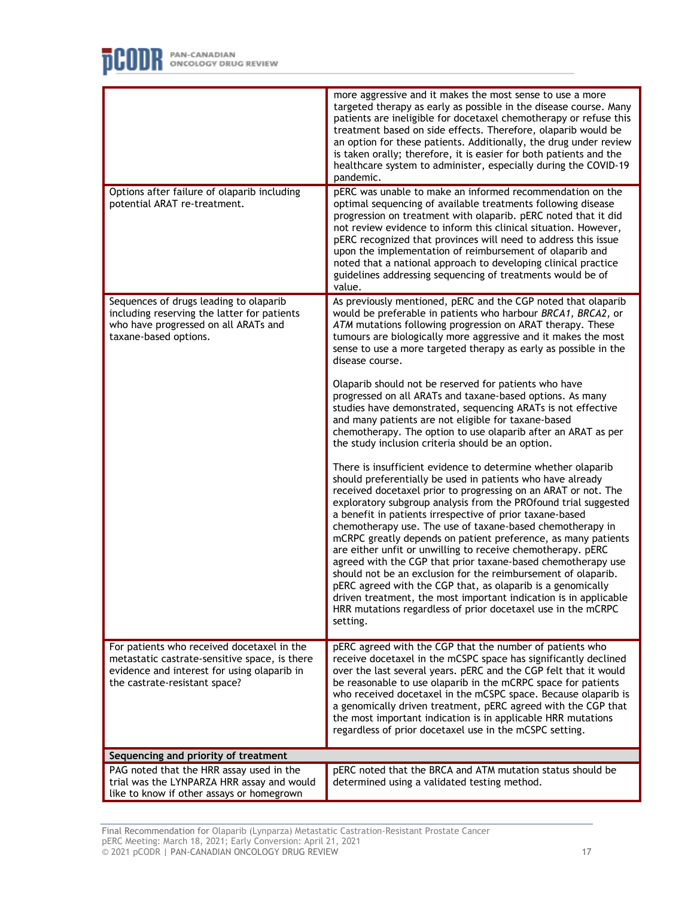

|                                                                                                                                                                             | more aggressive and it makes the most sense to use a more<br>targeted therapy as early as possible in the disease course. Many<br>patients are ineligible for docetaxel chemotherapy or refuse this<br>treatment based on side effects. Therefore, olaparib would be<br>an option for these patients. Additionally, the drug under review<br>is taken orally; therefore, it is easier for both patients and the<br>healthcare system to administer, especially during the COVID-19<br>pandemic.                                                                                                                                                                                                                                                                                                                                                                          |
|-----------------------------------------------------------------------------------------------------------------------------------------------------------------------------|--------------------------------------------------------------------------------------------------------------------------------------------------------------------------------------------------------------------------------------------------------------------------------------------------------------------------------------------------------------------------------------------------------------------------------------------------------------------------------------------------------------------------------------------------------------------------------------------------------------------------------------------------------------------------------------------------------------------------------------------------------------------------------------------------------------------------------------------------------------------------|
| Options after failure of olaparib including<br>potential ARAT re-treatment.                                                                                                 | pERC was unable to make an informed recommendation on the<br>optimal sequencing of available treatments following disease<br>progression on treatment with olaparib. pERC noted that it did<br>not review evidence to inform this clinical situation. However,<br>pERC recognized that provinces will need to address this issue<br>upon the implementation of reimbursement of olaparib and<br>noted that a national approach to developing clinical practice<br>guidelines addressing sequencing of treatments would be of<br>value.                                                                                                                                                                                                                                                                                                                                   |
| Sequences of drugs leading to olaparib<br>including reserving the latter for patients<br>who have progressed on all ARATs and<br>taxane-based options.                      | As previously mentioned, pERC and the CGP noted that olaparib<br>would be preferable in patients who harbour BRCA1, BRCA2, or<br>ATM mutations following progression on ARAT therapy. These<br>tumours are biologically more aggressive and it makes the most<br>sense to use a more targeted therapy as early as possible in the<br>disease course.                                                                                                                                                                                                                                                                                                                                                                                                                                                                                                                     |
|                                                                                                                                                                             | Olaparib should not be reserved for patients who have<br>progressed on all ARATs and taxane-based options. As many<br>studies have demonstrated, sequencing ARATs is not effective<br>and many patients are not eligible for taxane-based<br>chemotherapy. The option to use olaparib after an ARAT as per<br>the study inclusion criteria should be an option.                                                                                                                                                                                                                                                                                                                                                                                                                                                                                                          |
|                                                                                                                                                                             | There is insufficient evidence to determine whether olaparib<br>should preferentially be used in patients who have already<br>received docetaxel prior to progressing on an ARAT or not. The<br>exploratory subgroup analysis from the PROfound trial suggested<br>a benefit in patients irrespective of prior taxane-based<br>chemotherapy use. The use of taxane-based chemotherapy in<br>mCRPC greatly depends on patient preference, as many patients<br>are either unfit or unwilling to receive chemotherapy. pERC<br>agreed with the CGP that prior taxane-based chemotherapy use<br>should not be an exclusion for the reimbursement of olaparib.<br>pERC agreed with the CGP that, as olaparib is a genomically<br>driven treatment, the most important indication is in applicable<br>HRR mutations regardless of prior docetaxel use in the mCRPC<br>setting. |
| For patients who received docetaxel in the<br>metastatic castrate-sensitive space, is there<br>evidence and interest for using olaparib in<br>the castrate-resistant space? | pERC agreed with the CGP that the number of patients who<br>receive docetaxel in the mCSPC space has significantly declined<br>over the last several years. pERC and the CGP felt that it would<br>be reasonable to use olaparib in the mCRPC space for patients<br>who received docetaxel in the mCSPC space. Because olaparib is<br>a genomically driven treatment, pERC agreed with the CGP that<br>the most important indication is in applicable HRR mutations<br>regardless of prior docetaxel use in the mCSPC setting.                                                                                                                                                                                                                                                                                                                                           |
| Sequencing and priority of treatment                                                                                                                                        |                                                                                                                                                                                                                                                                                                                                                                                                                                                                                                                                                                                                                                                                                                                                                                                                                                                                          |
| PAG noted that the HRR assay used in the<br>trial was the LYNPARZA HRR assay and would<br>like to know if other assays or homegrown                                         | pERC noted that the BRCA and ATM mutation status should be<br>determined using a validated testing method.                                                                                                                                                                                                                                                                                                                                                                                                                                                                                                                                                                                                                                                                                                                                                               |